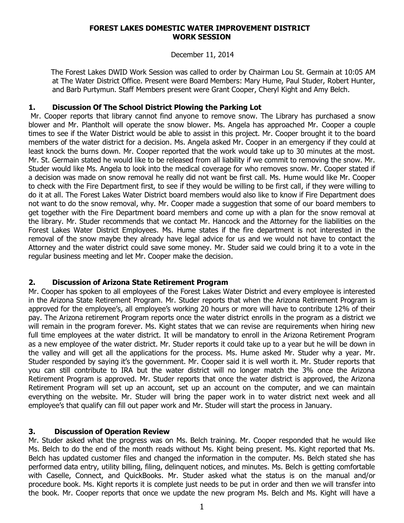#### **FOREST LAKES DOMESTIC WATER IMPROVEMENT DISTRICT WORK SESSION**

#### December 11, 2014

 The Forest Lakes DWID Work Session was called to order by Chairman Lou St. Germain at 10:05 AM at The Water District Office. Present were Board Members: Mary Hume, Paul Studer, Robert Hunter, and Barb Purtymun. Staff Members present were Grant Cooper, Cheryl Kight and Amy Belch.

### **1. Discussion Of The School District Plowing the Parking Lot**

Mr. Cooper reports that library cannot find anyone to remove snow. The Library has purchased a snow blower and Mr. Plantholt will operate the snow blower. Ms. Angela has approached Mr. Cooper a couple times to see if the Water District would be able to assist in this project. Mr. Cooper brought it to the board members of the water district for a decision. Ms. Angela asked Mr. Cooper in an emergency if they could at least knock the burns down. Mr. Cooper reported that the work would take up to 30 minutes at the most. Mr. St. Germain stated he would like to be released from all liability if we commit to removing the snow. Mr. Studer would like Ms. Angela to look into the medical coverage for who removes snow. Mr. Cooper stated if a decision was made on snow removal he really did not want be first call. Ms. Hume would like Mr. Cooper to check with the Fire Department first, to see if they would be willing to be first call, if they were willing to do it at all. The Forest Lakes Water District board members would also like to know if Fire Department does not want to do the snow removal, why. Mr. Cooper made a suggestion that some of our board members to get together with the Fire Department board members and come up with a plan for the snow removal at the library. Mr. Studer recommends that we contact Mr. Hancock and the Attorney for the liabilities on the Forest Lakes Water District Employees. Ms. Hume states if the fire department is not interested in the removal of the snow maybe they already have legal advice for us and we would not have to contact the Attorney and the water district could save some money. Mr. Studer said we could bring it to a vote in the regular business meeting and let Mr. Cooper make the decision.

# **2. Discussion of Arizona State Retirement Program**

Mr. Cooper has spoken to all employees of the Forest Lakes Water District and every employee is interested in the Arizona State Retirement Program. Mr. Studer reports that when the Arizona Retirement Program is approved for the employee's, all employee's working 20 hours or more will have to contribute 12% of their pay. The Arizona retirement Program reports once the water district enrolls in the program as a district we will remain in the program forever. Ms. Kight states that we can revise are requirements when hiring new full time employees at the water district. It will be mandatory to enroll in the Arizona Retirement Program as a new employee of the water district. Mr. Studer reports it could take up to a year but he will be down in the valley and will get all the applications for the process. Ms. Hume asked Mr. Studer why a year. Mr. Studer responded by saying it's the government. Mr. Cooper said it is well worth it. Mr. Studer reports that you can still contribute to IRA but the water district will no longer match the 3% once the Arizona Retirement Program is approved. Mr. Studer reports that once the water district is approved, the Arizona Retirement Program will set up an account, set up an account on the computer, and we can maintain everything on the website. Mr. Studer will bring the paper work in to water district next week and all employee's that qualify can fill out paper work and Mr. Studer will start the process in January.

# **3. Discussion of Operation Review**

Mr. Studer asked what the progress was on Ms. Belch training. Mr. Cooper responded that he would like Ms. Belch to do the end of the month reads without Ms. Kight being present. Ms. Kight reported that Ms. Belch has updated customer files and changed the information in the computer. Ms. Belch stated she has performed data entry, utility billing, filing, delinquent notices, and minutes. Ms. Belch is getting comfortable with Caselle, Connect, and QuickBooks. Mr. Studer asked what the status is on the manual and/or procedure book. Ms. Kight reports it is complete just needs to be put in order and then we will transfer into the book. Mr. Cooper reports that once we update the new program Ms. Belch and Ms. Kight will have a